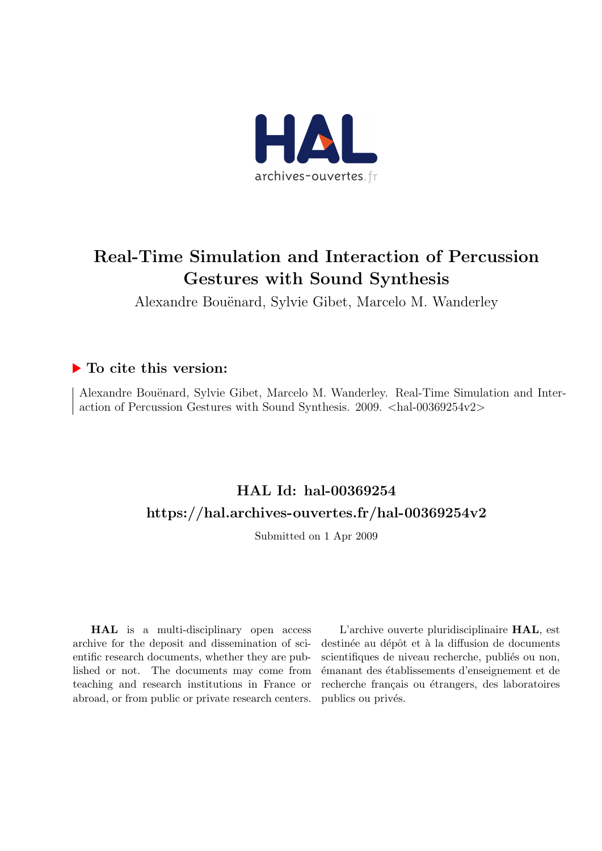

# Real-Time Simulation and Interaction of Percussion Gestures with Sound Synthesis

Alexandre Bouënard, Sylvie Gibet, Marcelo M. Wanderley

### ▶ To cite this version:

Alexandre Bouënard, Sylvie Gibet, Marcelo M. Wanderley. Real-Time Simulation and Interaction of Percussion Gestures with Sound Synthesis. 2009. <hal-00369254v2>

## HAL Id: hal-00369254 <https://hal.archives-ouvertes.fr/hal-00369254v2>

Submitted on 1 Apr 2009

HAL is a multi-disciplinary open access archive for the deposit and dissemination of scientific research documents, whether they are published or not. The documents may come from teaching and research institutions in France or abroad, or from public or private research centers.

L'archive ouverte pluridisciplinaire HAL, est destinée au dépôt et à la diffusion de documents scientifiques de niveau recherche, publiés ou non, ´emanant des ´etablissements d'enseignement et de recherche français ou étrangers, des laboratoires publics ou privés.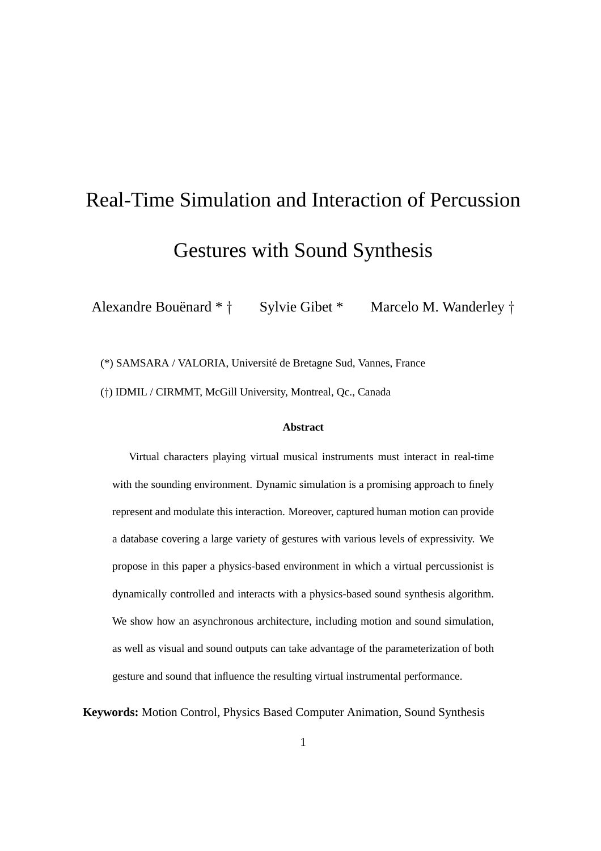# Real-Time Simulation and Interaction of Percussion Gestures with Sound Synthesis

Alexandre Bouënard \* † Sylvie Gibet \* Marcelo M. Wanderley †

(\*) SAMSARA / VALORIA, Universite de Bretagne Sud, Vannes, France ´ (†) IDMIL / CIRMMT, McGill University, Montreal, Qc., Canada

#### **Abstract**

Virtual characters playing virtual musical instruments must interact in real-time with the sounding environment. Dynamic simulation is a promising approach to finely represent and modulate this interaction. Moreover, captured human motion can provide a database covering a large variety of gestures with various levels of expressivity. We propose in this paper a physics-based environment in which a virtual percussionist is dynamically controlled and interacts with a physics-based sound synthesis algorithm. We show how an asynchronous architecture, including motion and sound simulation, as well as visual and sound outputs can take advantage of the parameterization of both gesture and sound that influence the resulting virtual instrumental performance.

**Keywords:** Motion Control, Physics Based Computer Animation, Sound Synthesis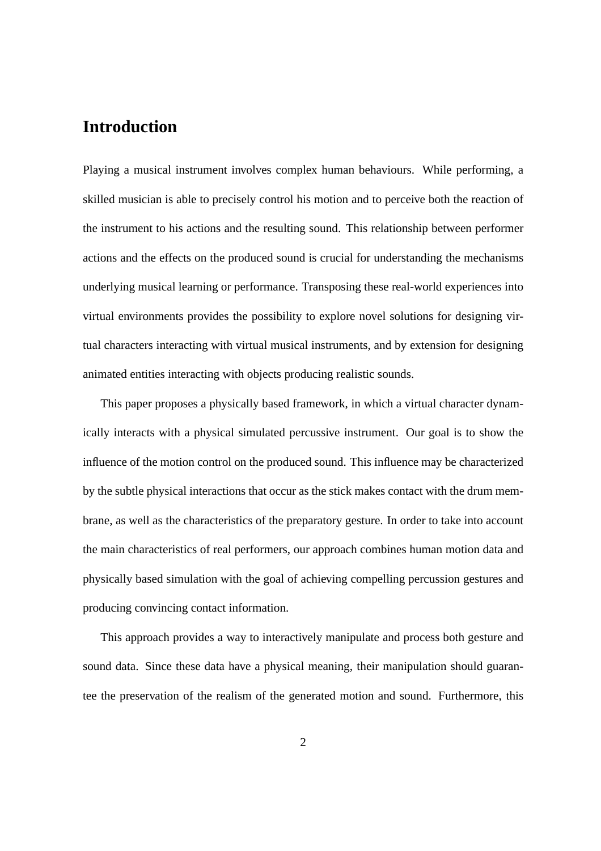## **Introduction**

Playing a musical instrument involves complex human behaviours. While performing, a skilled musician is able to precisely control his motion and to perceive both the reaction of the instrument to his actions and the resulting sound. This relationship between performer actions and the effects on the produced sound is crucial for understanding the mechanisms underlying musical learning or performance. Transposing these real-world experiences into virtual environments provides the possibility to explore novel solutions for designing virtual characters interacting with virtual musical instruments, and by extension for designing animated entities interacting with objects producing realistic sounds.

This paper proposes a physically based framework, in which a virtual character dynamically interacts with a physical simulated percussive instrument. Our goal is to show the influence of the motion control on the produced sound. This influence may be characterized by the subtle physical interactions that occur as the stick makes contact with the drum membrane, as well as the characteristics of the preparatory gesture. In order to take into account the main characteristics of real performers, our approach combines human motion data and physically based simulation with the goal of achieving compelling percussion gestures and producing convincing contact information.

This approach provides a way to interactively manipulate and process both gesture and sound data. Since these data have a physical meaning, their manipulation should guarantee the preservation of the realism of the generated motion and sound. Furthermore, this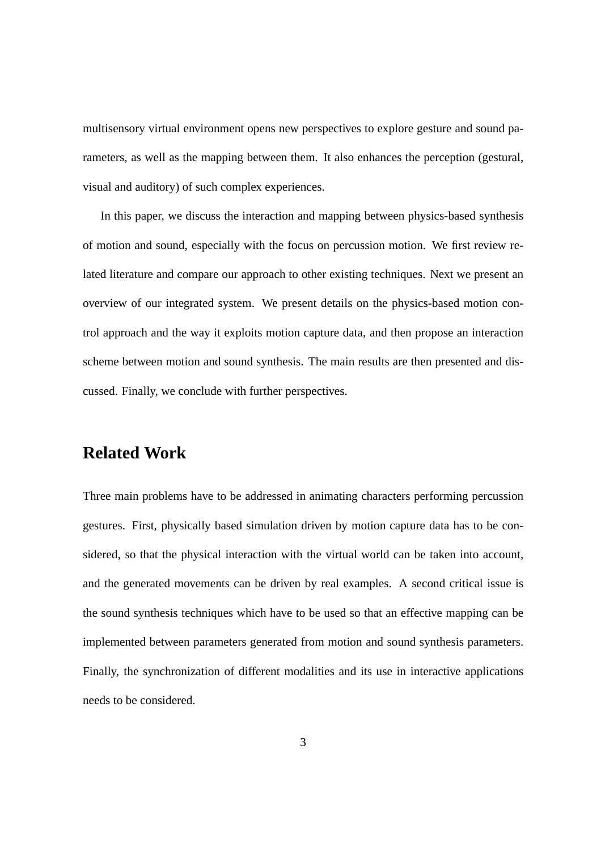multisensory virtual environment opens new perspectives to explore gesture and sound parameters, as well as the mapping between them. It also enhances the perception (gestural, visual and auditory) of such complex experiences.

In this paper, we discuss the interaction and mapping between physics-based synthesis of motion and sound, especially with the focus on percussion motion. We first review related literature and compare our approach to other existing techniques. Next we present an overview of our integrated system. We present details on the physics-based motion control approach and the way it exploits motion capture data, and then propose an interaction scheme between motion and sound synthesis. The main results are then presented and discussed. Finally, we conclude with further perspectives.

## **Related Work**

Three main problems have to be addressed in animating characters performing percussion gestures. First, physically based simulation driven by motion capture data has to be considered, so that the physical interaction with the virtual world can be taken into account, and the generated movements can be driven by real examples. A second critical issue is the sound synthesis techniques which have to be used so that an effective mapping can be implemented between parameters generated from motion and sound synthesis parameters. Finally, the synchronization of different modalities and its use in interactive applications needs to be considered.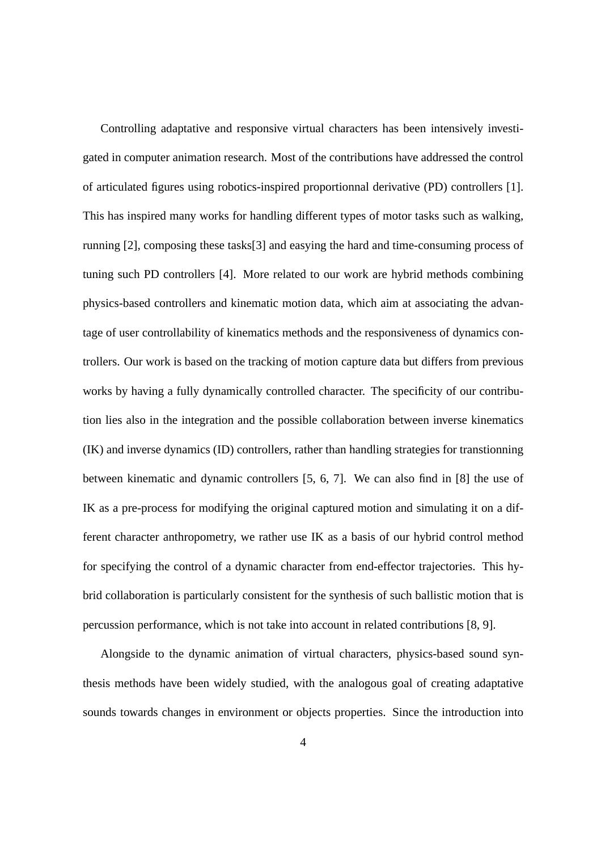Controlling adaptative and responsive virtual characters has been intensively investigated in computer animation research. Most of the contributions have addressed the control of articulated figures using robotics-inspired proportionnal derivative (PD) controllers [1]. This has inspired many works for handling different types of motor tasks such as walking, running [2], composing these tasks[3] and easying the hard and time-consuming process of tuning such PD controllers [4]. More related to our work are hybrid methods combining physics-based controllers and kinematic motion data, which aim at associating the advantage of user controllability of kinematics methods and the responsiveness of dynamics controllers. Our work is based on the tracking of motion capture data but differs from previous works by having a fully dynamically controlled character. The specificity of our contribution lies also in the integration and the possible collaboration between inverse kinematics (IK) and inverse dynamics (ID) controllers, rather than handling strategies for transtionning between kinematic and dynamic controllers [5, 6, 7]. We can also find in [8] the use of IK as a pre-process for modifying the original captured motion and simulating it on a different character anthropometry, we rather use IK as a basis of our hybrid control method for specifying the control of a dynamic character from end-effector trajectories. This hybrid collaboration is particularly consistent for the synthesis of such ballistic motion that is percussion performance, which is not take into account in related contributions [8, 9].

Alongside to the dynamic animation of virtual characters, physics-based sound synthesis methods have been widely studied, with the analogous goal of creating adaptative sounds towards changes in environment or objects properties. Since the introduction into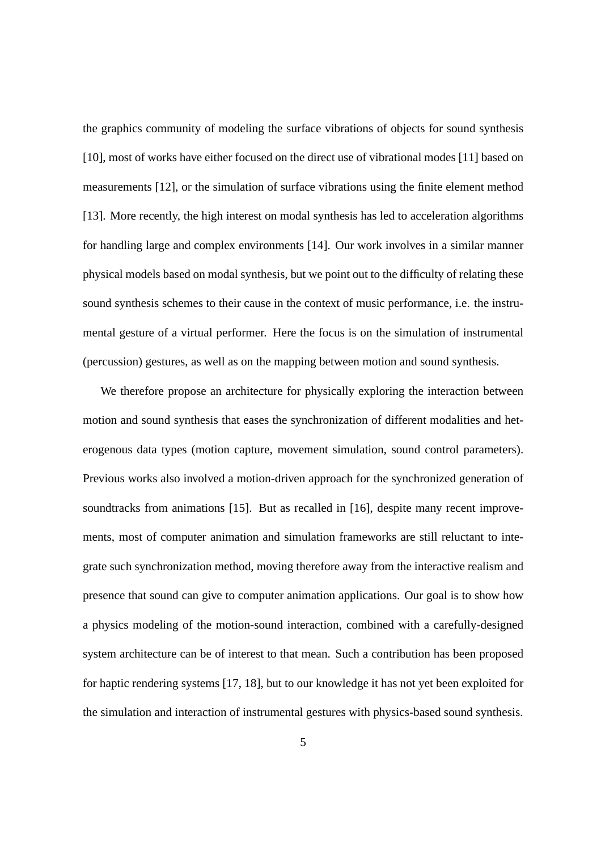the graphics community of modeling the surface vibrations of objects for sound synthesis [10], most of works have either focused on the direct use of vibrational modes [11] based on measurements [12], or the simulation of surface vibrations using the finite element method [13]. More recently, the high interest on modal synthesis has led to acceleration algorithms for handling large and complex environments [14]. Our work involves in a similar manner physical models based on modal synthesis, but we point out to the difficulty of relating these sound synthesis schemes to their cause in the context of music performance, i.e. the instrumental gesture of a virtual performer. Here the focus is on the simulation of instrumental (percussion) gestures, as well as on the mapping between motion and sound synthesis.

We therefore propose an architecture for physically exploring the interaction between motion and sound synthesis that eases the synchronization of different modalities and heterogenous data types (motion capture, movement simulation, sound control parameters). Previous works also involved a motion-driven approach for the synchronized generation of soundtracks from animations [15]. But as recalled in [16], despite many recent improvements, most of computer animation and simulation frameworks are still reluctant to integrate such synchronization method, moving therefore away from the interactive realism and presence that sound can give to computer animation applications. Our goal is to show how a physics modeling of the motion-sound interaction, combined with a carefully-designed system architecture can be of interest to that mean. Such a contribution has been proposed for haptic rendering systems [17, 18], but to our knowledge it has not yet been exploited for the simulation and interaction of instrumental gestures with physics-based sound synthesis.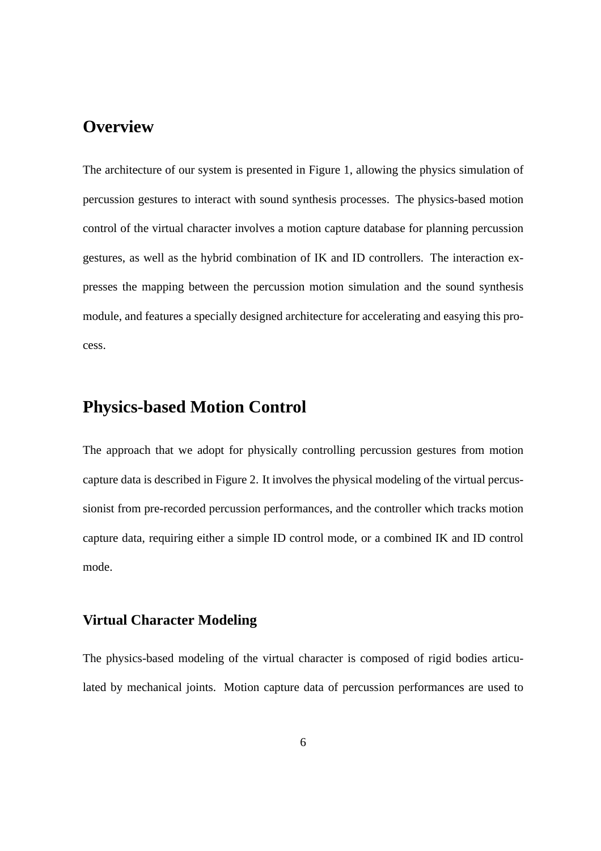## **Overview**

The architecture of our system is presented in Figure 1, allowing the physics simulation of percussion gestures to interact with sound synthesis processes. The physics-based motion control of the virtual character involves a motion capture database for planning percussion gestures, as well as the hybrid combination of IK and ID controllers. The interaction expresses the mapping between the percussion motion simulation and the sound synthesis module, and features a specially designed architecture for accelerating and easying this process.

## **Physics-based Motion Control**

The approach that we adopt for physically controlling percussion gestures from motion capture data is described in Figure 2. It involves the physical modeling of the virtual percussionist from pre-recorded percussion performances, and the controller which tracks motion capture data, requiring either a simple ID control mode, or a combined IK and ID control mode.

#### **Virtual Character Modeling**

The physics-based modeling of the virtual character is composed of rigid bodies articulated by mechanical joints. Motion capture data of percussion performances are used to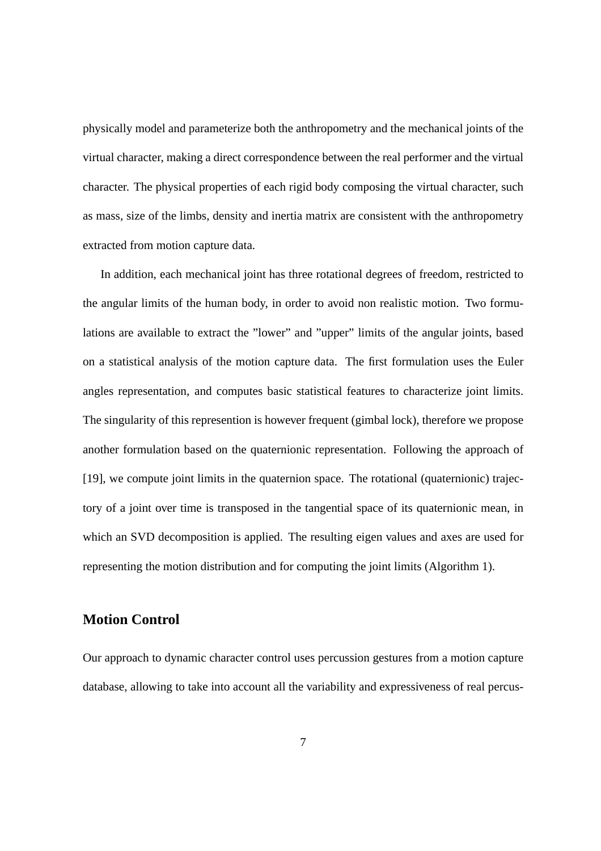physically model and parameterize both the anthropometry and the mechanical joints of the virtual character, making a direct correspondence between the real performer and the virtual character. The physical properties of each rigid body composing the virtual character, such as mass, size of the limbs, density and inertia matrix are consistent with the anthropometry extracted from motion capture data.

In addition, each mechanical joint has three rotational degrees of freedom, restricted to the angular limits of the human body, in order to avoid non realistic motion. Two formulations are available to extract the "lower" and "upper" limits of the angular joints, based on a statistical analysis of the motion capture data. The first formulation uses the Euler angles representation, and computes basic statistical features to characterize joint limits. The singularity of this represention is however frequent (gimbal lock), therefore we propose another formulation based on the quaternionic representation. Following the approach of [19], we compute joint limits in the quaternion space. The rotational (quaternionic) trajectory of a joint over time is transposed in the tangential space of its quaternionic mean, in which an SVD decomposition is applied. The resulting eigen values and axes are used for representing the motion distribution and for computing the joint limits (Algorithm 1).

#### **Motion Control**

Our approach to dynamic character control uses percussion gestures from a motion capture database, allowing to take into account all the variability and expressiveness of real percus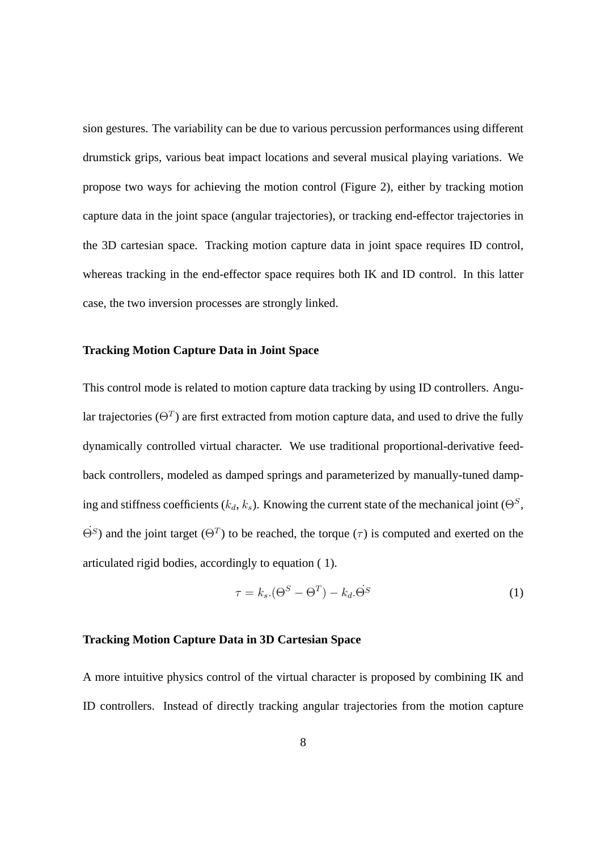sion gestures. The variability can be due to various percussion performances using different drumstick grips, various beat impact locations and several musical playing variations. We propose two ways for achieving the motion control (Figure 2), either by tracking motion capture data in the joint space (angular trajectories), or tracking end-effector trajectories in the 3D cartesian space. Tracking motion capture data in joint space requires ID control, whereas tracking in the end-effector space requires both IK and ID control. In this latter case, the two inversion processes are strongly linked.

#### **Tracking Motion Capture Data in Joint Space**

This control mode is related to motion capture data tracking by using ID controllers. Angular trajectories ( $\Theta^T$ ) are first extracted from motion capture data, and used to drive the fully dynamically controlled virtual character. We use traditional proportional-derivative feedback controllers, modeled as damped springs and parameterized by manually-tuned damping and stiffness coefficients ( $k_d$ ,  $k_s$ ). Knowing the current state of the mechanical joint ( $\Theta^S$ ,  $\dot{\Theta}^S$ ) and the joint target  $(\Theta^T)$  to be reached, the torque  $(\tau)$  is computed and exerted on the articulated rigid bodies, accordingly to equation ( 1).

$$
\tau = k_s \cdot (\Theta^S - \Theta^T) - k_d \cdot \dot{\Theta}^S \tag{1}
$$

#### **Tracking Motion Capture Data in 3D Cartesian Space**

A more intuitive physics control of the virtual character is proposed by combining IK and ID controllers. Instead of directly tracking angular trajectories from the motion capture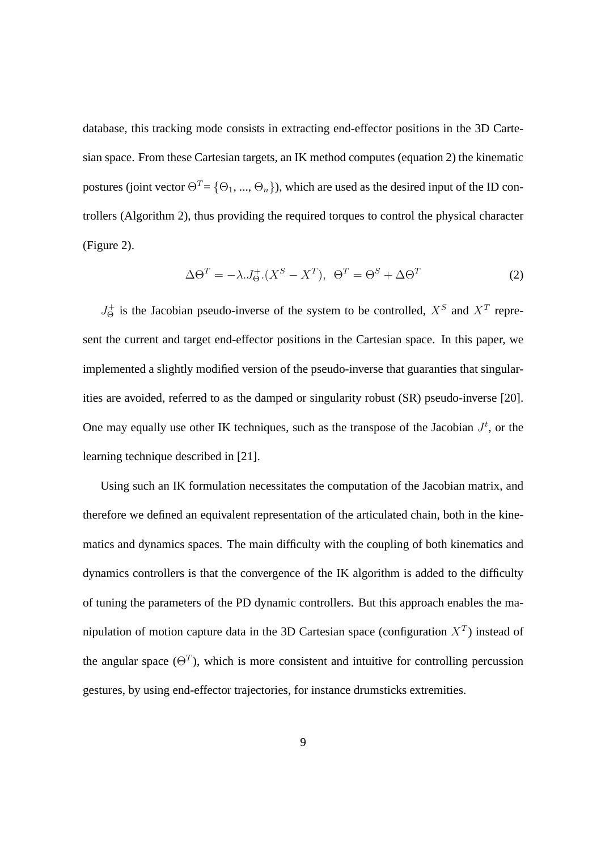database, this tracking mode consists in extracting end-effector positions in the 3D Cartesian space. From these Cartesian targets, an IK method computes (equation 2) the kinematic postures (joint vector  $\Theta^T = {\Theta_1, ..., \Theta_n}$ ), which are used as the desired input of the ID controllers (Algorithm 2), thus providing the required torques to control the physical character (Figure 2).

$$
\Delta \Theta^T = -\lambda J^+_{\Theta} (X^S - X^T), \ \ \Theta^T = \Theta^S + \Delta \Theta^T \tag{2}
$$

 $J_{\Theta}^+$  is the Jacobian pseudo-inverse of the system to be controlled,  $X^S$  and  $X^T$  represent the current and target end-effector positions in the Cartesian space. In this paper, we implemented a slightly modified version of the pseudo-inverse that guaranties that singularities are avoided, referred to as the damped or singularity robust (SR) pseudo-inverse [20]. One may equally use other IK techniques, such as the transpose of the Jacobian  $J<sup>t</sup>$ , or the learning technique described in [21].

Using such an IK formulation necessitates the computation of the Jacobian matrix, and therefore we defined an equivalent representation of the articulated chain, both in the kinematics and dynamics spaces. The main difficulty with the coupling of both kinematics and dynamics controllers is that the convergence of the IK algorithm is added to the difficulty of tuning the parameters of the PD dynamic controllers. But this approach enables the manipulation of motion capture data in the 3D Cartesian space (configuration  $X^T$ ) instead of the angular space  $(\Theta^T)$ , which is more consistent and intuitive for controlling percussion gestures, by using end-effector trajectories, for instance drumsticks extremities.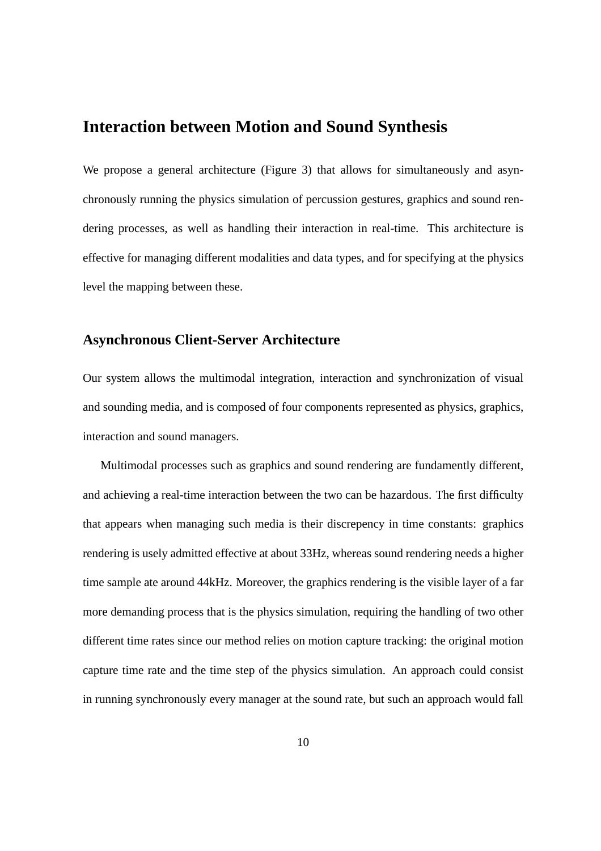## **Interaction between Motion and Sound Synthesis**

We propose a general architecture (Figure 3) that allows for simultaneously and asynchronously running the physics simulation of percussion gestures, graphics and sound rendering processes, as well as handling their interaction in real-time. This architecture is effective for managing different modalities and data types, and for specifying at the physics level the mapping between these.

#### **Asynchronous Client-Server Architecture**

Our system allows the multimodal integration, interaction and synchronization of visual and sounding media, and is composed of four components represented as physics, graphics, interaction and sound managers.

Multimodal processes such as graphics and sound rendering are fundamently different, and achieving a real-time interaction between the two can be hazardous. The first difficulty that appears when managing such media is their discrepency in time constants: graphics rendering is usely admitted effective at about 33Hz, whereas sound rendering needs a higher time sample ate around 44kHz. Moreover, the graphics rendering is the visible layer of a far more demanding process that is the physics simulation, requiring the handling of two other different time rates since our method relies on motion capture tracking: the original motion capture time rate and the time step of the physics simulation. An approach could consist in running synchronously every manager at the sound rate, but such an approach would fall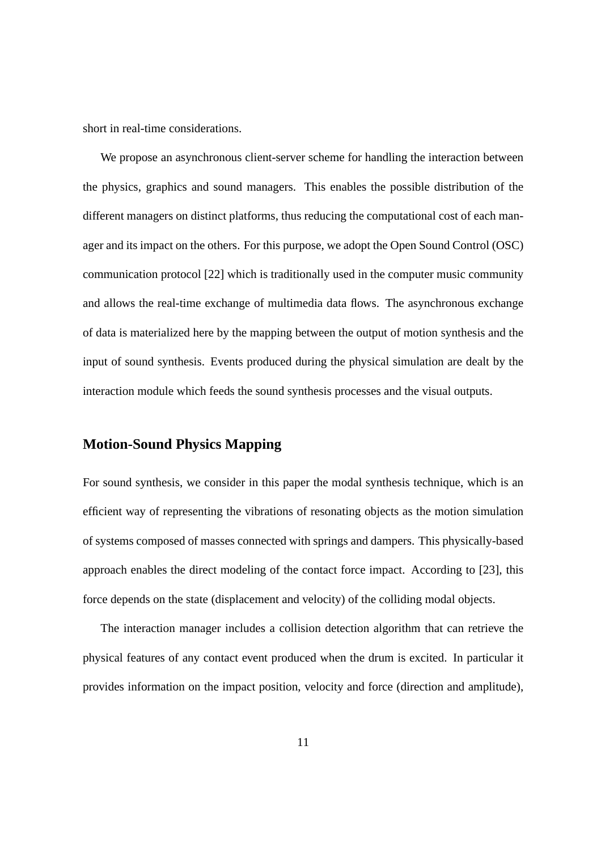short in real-time considerations.

We propose an asynchronous client-server scheme for handling the interaction between the physics, graphics and sound managers. This enables the possible distribution of the different managers on distinct platforms, thus reducing the computational cost of each manager and its impact on the others. For this purpose, we adopt the Open Sound Control (OSC) communication protocol [22] which is traditionally used in the computer music community and allows the real-time exchange of multimedia data flows. The asynchronous exchange of data is materialized here by the mapping between the output of motion synthesis and the input of sound synthesis. Events produced during the physical simulation are dealt by the interaction module which feeds the sound synthesis processes and the visual outputs.

#### **Motion-Sound Physics Mapping**

For sound synthesis, we consider in this paper the modal synthesis technique, which is an efficient way of representing the vibrations of resonating objects as the motion simulation of systems composed of masses connected with springs and dampers. This physically-based approach enables the direct modeling of the contact force impact. According to [23], this force depends on the state (displacement and velocity) of the colliding modal objects.

The interaction manager includes a collision detection algorithm that can retrieve the physical features of any contact event produced when the drum is excited. In particular it provides information on the impact position, velocity and force (direction and amplitude),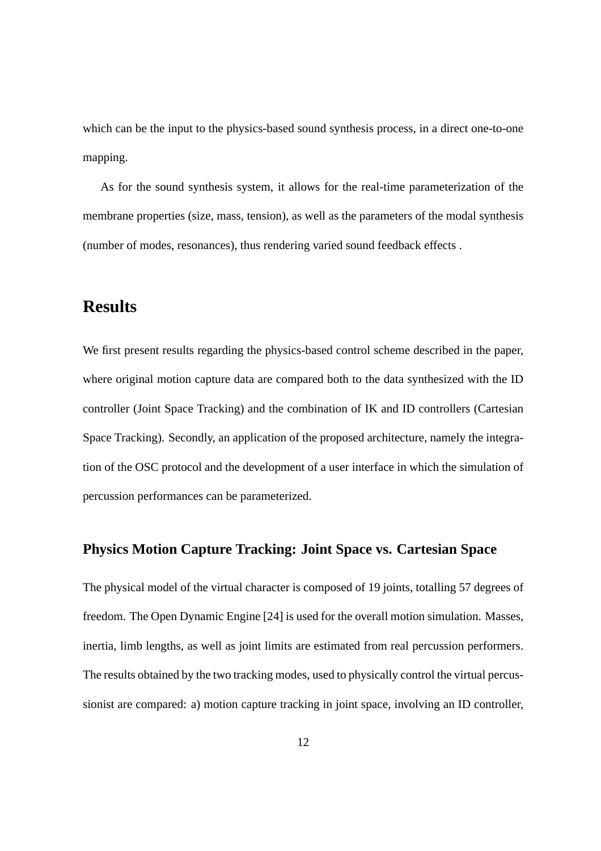which can be the input to the physics-based sound synthesis process, in a direct one-to-one mapping.

As for the sound synthesis system, it allows for the real-time parameterization of the membrane properties (size, mass, tension), as well as the parameters of the modal synthesis (number of modes, resonances), thus rendering varied sound feedback effects .

## **Results**

We first present results regarding the physics-based control scheme described in the paper, where original motion capture data are compared both to the data synthesized with the ID controller (Joint Space Tracking) and the combination of IK and ID controllers (Cartesian Space Tracking). Secondly, an application of the proposed architecture, namely the integration of the OSC protocol and the development of a user interface in which the simulation of percussion performances can be parameterized.

#### **Physics Motion Capture Tracking: Joint Space vs. Cartesian Space**

The physical model of the virtual character is composed of 19 joints, totalling 57 degrees of freedom. The Open Dynamic Engine [24] is used for the overall motion simulation. Masses, inertia, limb lengths, as well as joint limits are estimated from real percussion performers. The results obtained by the two tracking modes, used to physically control the virtual percussionist are compared: a) motion capture tracking in joint space, involving an ID controller,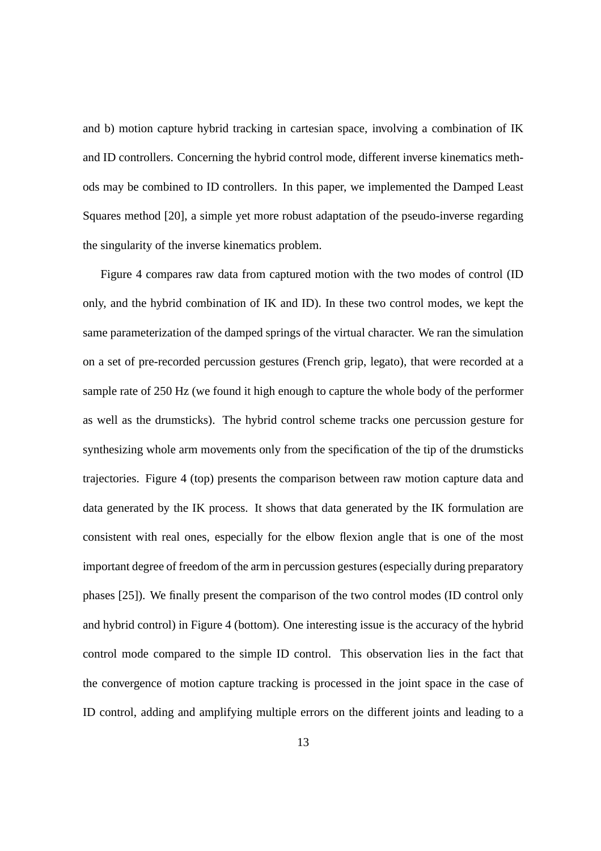and b) motion capture hybrid tracking in cartesian space, involving a combination of IK and ID controllers. Concerning the hybrid control mode, different inverse kinematics methods may be combined to ID controllers. In this paper, we implemented the Damped Least Squares method [20], a simple yet more robust adaptation of the pseudo-inverse regarding the singularity of the inverse kinematics problem.

Figure 4 compares raw data from captured motion with the two modes of control (ID only, and the hybrid combination of IK and ID). In these two control modes, we kept the same parameterization of the damped springs of the virtual character. We ran the simulation on a set of pre-recorded percussion gestures (French grip, legato), that were recorded at a sample rate of 250 Hz (we found it high enough to capture the whole body of the performer as well as the drumsticks). The hybrid control scheme tracks one percussion gesture for synthesizing whole arm movements only from the specification of the tip of the drumsticks trajectories. Figure 4 (top) presents the comparison between raw motion capture data and data generated by the IK process. It shows that data generated by the IK formulation are consistent with real ones, especially for the elbow flexion angle that is one of the most important degree of freedom of the arm in percussion gestures (especially during preparatory phases [25]). We finally present the comparison of the two control modes (ID control only and hybrid control) in Figure 4 (bottom). One interesting issue is the accuracy of the hybrid control mode compared to the simple ID control. This observation lies in the fact that the convergence of motion capture tracking is processed in the joint space in the case of ID control, adding and amplifying multiple errors on the different joints and leading to a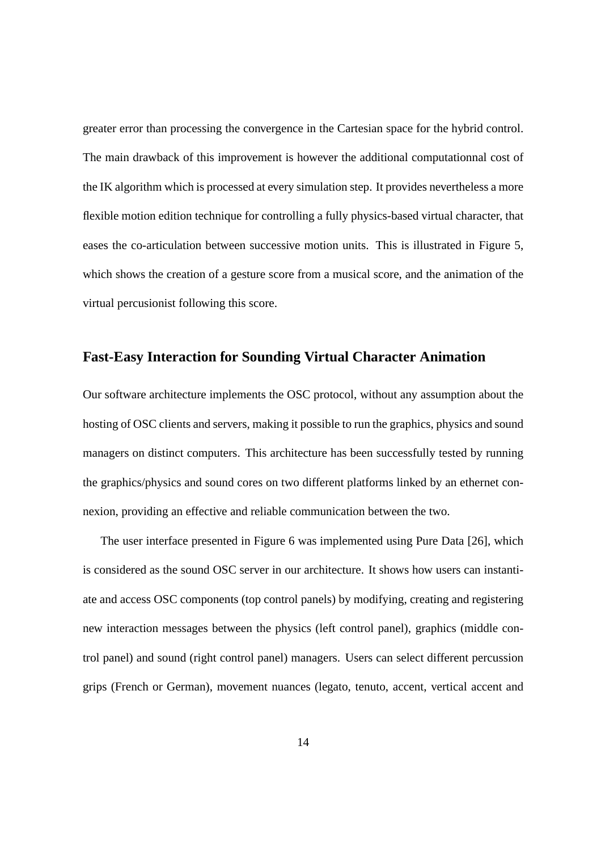greater error than processing the convergence in the Cartesian space for the hybrid control. The main drawback of this improvement is however the additional computationnal cost of the IK algorithm which is processed at every simulation step. It provides nevertheless a more flexible motion edition technique for controlling a fully physics-based virtual character, that eases the co-articulation between successive motion units. This is illustrated in Figure 5, which shows the creation of a gesture score from a musical score, and the animation of the virtual percusionist following this score.

#### **Fast-Easy Interaction for Sounding Virtual Character Animation**

Our software architecture implements the OSC protocol, without any assumption about the hosting of OSC clients and servers, making it possible to run the graphics, physics and sound managers on distinct computers. This architecture has been successfully tested by running the graphics/physics and sound cores on two different platforms linked by an ethernet connexion, providing an effective and reliable communication between the two.

The user interface presented in Figure 6 was implemented using Pure Data [26], which is considered as the sound OSC server in our architecture. It shows how users can instantiate and access OSC components (top control panels) by modifying, creating and registering new interaction messages between the physics (left control panel), graphics (middle control panel) and sound (right control panel) managers. Users can select different percussion grips (French or German), movement nuances (legato, tenuto, accent, vertical accent and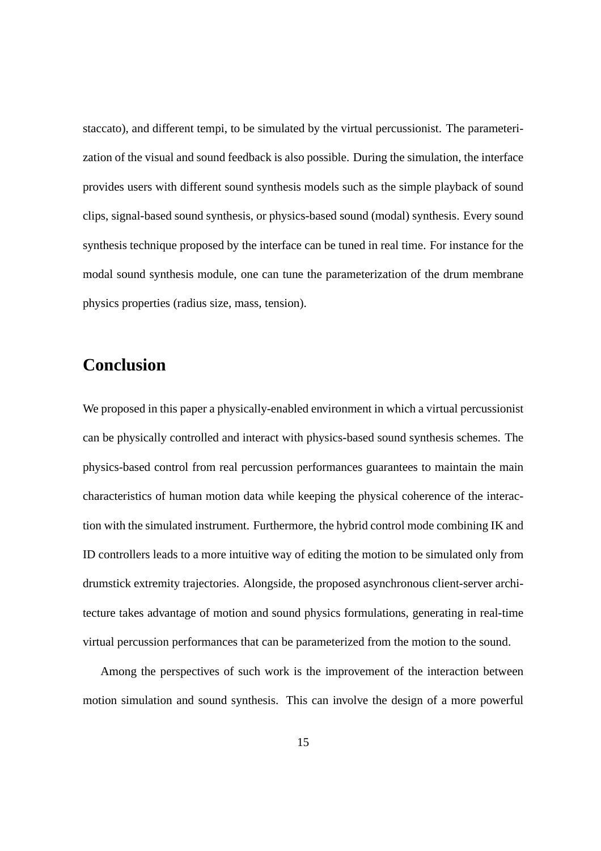staccato), and different tempi, to be simulated by the virtual percussionist. The parameterization of the visual and sound feedback is also possible. During the simulation, the interface provides users with different sound synthesis models such as the simple playback of sound clips, signal-based sound synthesis, or physics-based sound (modal) synthesis. Every sound synthesis technique proposed by the interface can be tuned in real time. For instance for the modal sound synthesis module, one can tune the parameterization of the drum membrane physics properties (radius size, mass, tension).

## **Conclusion**

We proposed in this paper a physically-enabled environment in which a virtual percussionist can be physically controlled and interact with physics-based sound synthesis schemes. The physics-based control from real percussion performances guarantees to maintain the main characteristics of human motion data while keeping the physical coherence of the interaction with the simulated instrument. Furthermore, the hybrid control mode combining IK and ID controllers leads to a more intuitive way of editing the motion to be simulated only from drumstick extremity trajectories. Alongside, the proposed asynchronous client-server architecture takes advantage of motion and sound physics formulations, generating in real-time virtual percussion performances that can be parameterized from the motion to the sound.

Among the perspectives of such work is the improvement of the interaction between motion simulation and sound synthesis. This can involve the design of a more powerful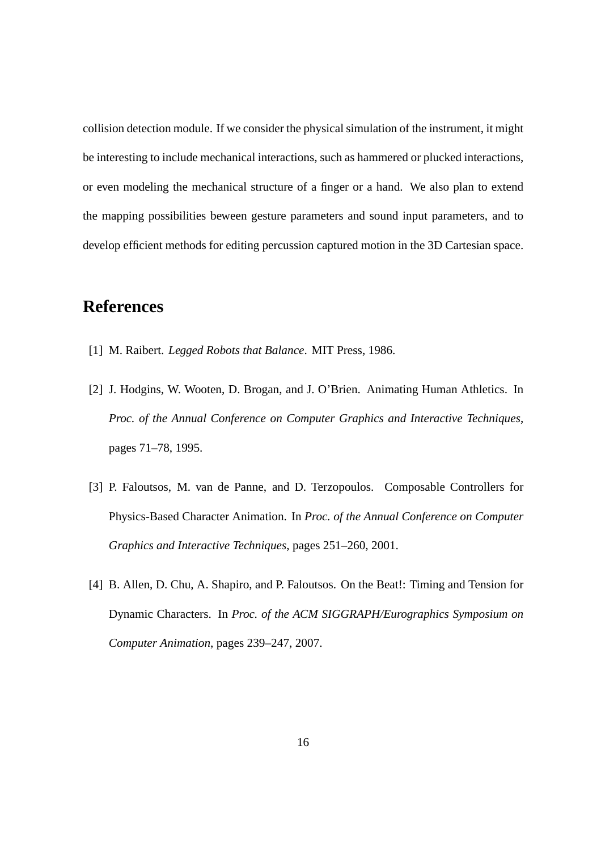collision detection module. If we consider the physical simulation of the instrument, it might be interesting to include mechanical interactions, such as hammered or plucked interactions, or even modeling the mechanical structure of a finger or a hand. We also plan to extend the mapping possibilities beween gesture parameters and sound input parameters, and to develop efficient methods for editing percussion captured motion in the 3D Cartesian space.

## **References**

- [1] M. Raibert. *Legged Robots that Balance*. MIT Press, 1986.
- [2] J. Hodgins, W. Wooten, D. Brogan, and J. O'Brien. Animating Human Athletics. In *Proc. of the Annual Conference on Computer Graphics and Interactive Techniques*, pages 71–78, 1995.
- [3] P. Faloutsos, M. van de Panne, and D. Terzopoulos. Composable Controllers for Physics-Based Character Animation. In *Proc. of the Annual Conference on Computer Graphics and Interactive Techniques*, pages 251–260, 2001.
- [4] B. Allen, D. Chu, A. Shapiro, and P. Faloutsos. On the Beat!: Timing and Tension for Dynamic Characters. In *Proc. of the ACM SIGGRAPH/Eurographics Symposium on Computer Animation*, pages 239–247, 2007.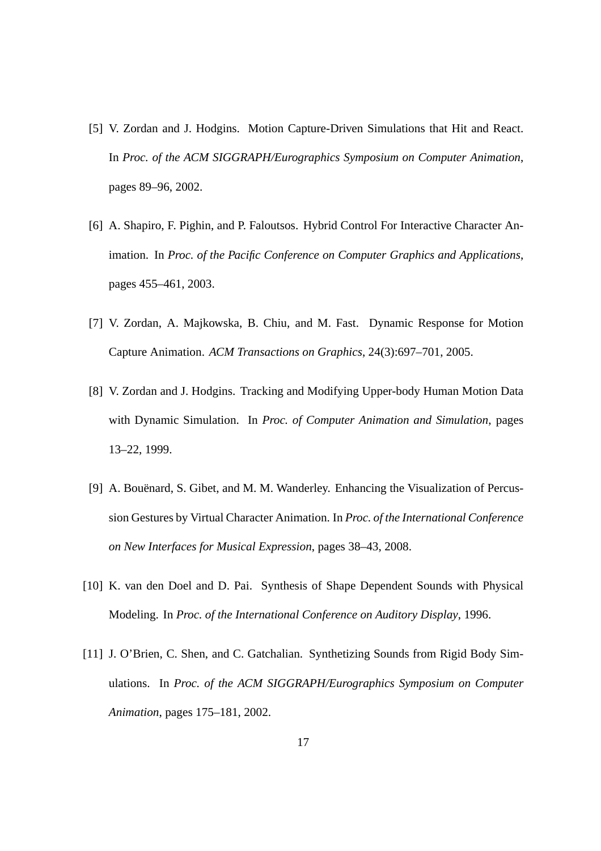- [5] V. Zordan and J. Hodgins. Motion Capture-Driven Simulations that Hit and React. In *Proc. of the ACM SIGGRAPH/Eurographics Symposium on Computer Animation*, pages 89–96, 2002.
- [6] A. Shapiro, F. Pighin, and P. Faloutsos. Hybrid Control For Interactive Character Animation. In *Proc. of the Pacific Conference on Computer Graphics and Applications*, pages 455–461, 2003.
- [7] V. Zordan, A. Majkowska, B. Chiu, and M. Fast. Dynamic Response for Motion Capture Animation. *ACM Transactions on Graphics*, 24(3):697–701, 2005.
- [8] V. Zordan and J. Hodgins. Tracking and Modifying Upper-body Human Motion Data with Dynamic Simulation. In *Proc. of Computer Animation and Simulation*, pages 13–22, 1999.
- [9] A. Bouënard, S. Gibet, and M. M. Wanderley. Enhancing the Visualization of Percussion Gestures by Virtual Character Animation. In *Proc. of the International Conference on New Interfaces for Musical Expression*, pages 38–43, 2008.
- [10] K. van den Doel and D. Pai. Synthesis of Shape Dependent Sounds with Physical Modeling. In *Proc. of the International Conference on Auditory Display*, 1996.
- [11] J. O'Brien, C. Shen, and C. Gatchalian. Synthetizing Sounds from Rigid Body Simulations. In *Proc. of the ACM SIGGRAPH/Eurographics Symposium on Computer Animation*, pages 175–181, 2002.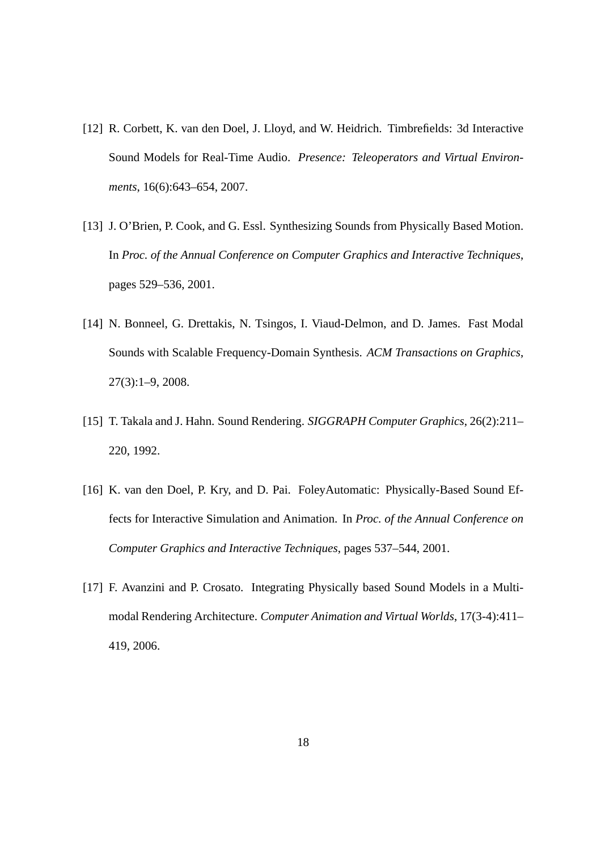- [12] R. Corbett, K. van den Doel, J. Lloyd, and W. Heidrich. Timbrefields: 3d Interactive Sound Models for Real-Time Audio. *Presence: Teleoperators and Virtual Environments*, 16(6):643–654, 2007.
- [13] J. O'Brien, P. Cook, and G. Essl. Synthesizing Sounds from Physically Based Motion. In *Proc. of the Annual Conference on Computer Graphics and Interactive Techniques*, pages 529–536, 2001.
- [14] N. Bonneel, G. Drettakis, N. Tsingos, I. Viaud-Delmon, and D. James. Fast Modal Sounds with Scalable Frequency-Domain Synthesis. *ACM Transactions on Graphics*, 27(3):1–9, 2008.
- [15] T. Takala and J. Hahn. Sound Rendering. *SIGGRAPH Computer Graphics*, 26(2):211– 220, 1992.
- [16] K. van den Doel, P. Kry, and D. Pai. FoleyAutomatic: Physically-Based Sound Effects for Interactive Simulation and Animation. In *Proc. of the Annual Conference on Computer Graphics and Interactive Techniques*, pages 537–544, 2001.
- [17] F. Avanzini and P. Crosato. Integrating Physically based Sound Models in a Multimodal Rendering Architecture. *Computer Animation and Virtual Worlds*, 17(3-4):411– 419, 2006.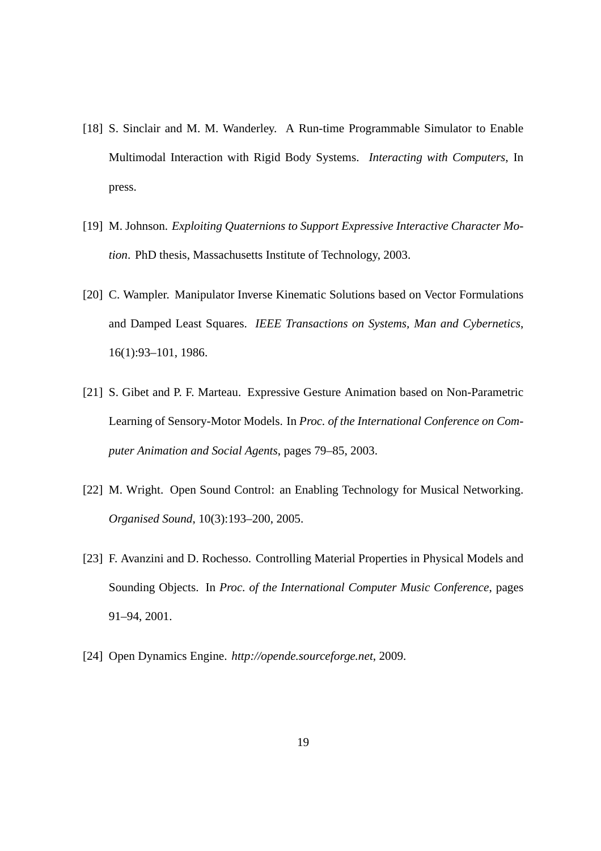- [18] S. Sinclair and M. M. Wanderley. A Run-time Programmable Simulator to Enable Multimodal Interaction with Rigid Body Systems. *Interacting with Computers*, In press.
- [19] M. Johnson. *Exploiting Quaternions to Support Expressive Interactive Character Motion*. PhD thesis, Massachusetts Institute of Technology, 2003.
- [20] C. Wampler. Manipulator Inverse Kinematic Solutions based on Vector Formulations and Damped Least Squares. *IEEE Transactions on Systems, Man and Cybernetics*, 16(1):93–101, 1986.
- [21] S. Gibet and P. F. Marteau. Expressive Gesture Animation based on Non-Parametric Learning of Sensory-Motor Models. In *Proc. of the International Conference on Computer Animation and Social Agents*, pages 79–85, 2003.
- [22] M. Wright. Open Sound Control: an Enabling Technology for Musical Networking. *Organised Sound*, 10(3):193–200, 2005.
- [23] F. Avanzini and D. Rochesso. Controlling Material Properties in Physical Models and Sounding Objects. In *Proc. of the International Computer Music Conference*, pages 91–94, 2001.
- [24] Open Dynamics Engine. *http://opende.sourceforge.net*, 2009.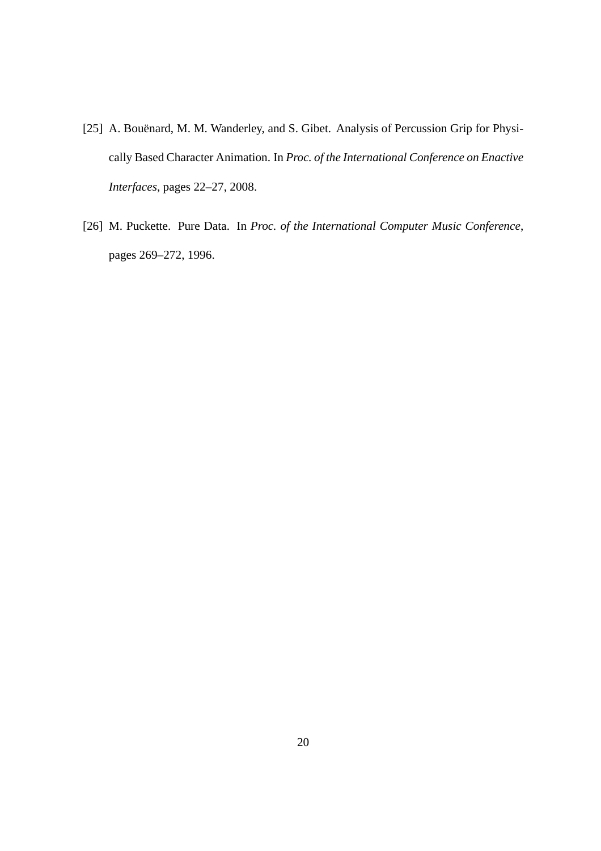- [25] A. Bouënard, M. M. Wanderley, and S. Gibet. Analysis of Percussion Grip for Physically Based Character Animation. In *Proc. of the International Conference on Enactive Interfaces*, pages 22–27, 2008.
- [26] M. Puckette. Pure Data. In *Proc. of the International Computer Music Conference*, pages 269–272, 1996.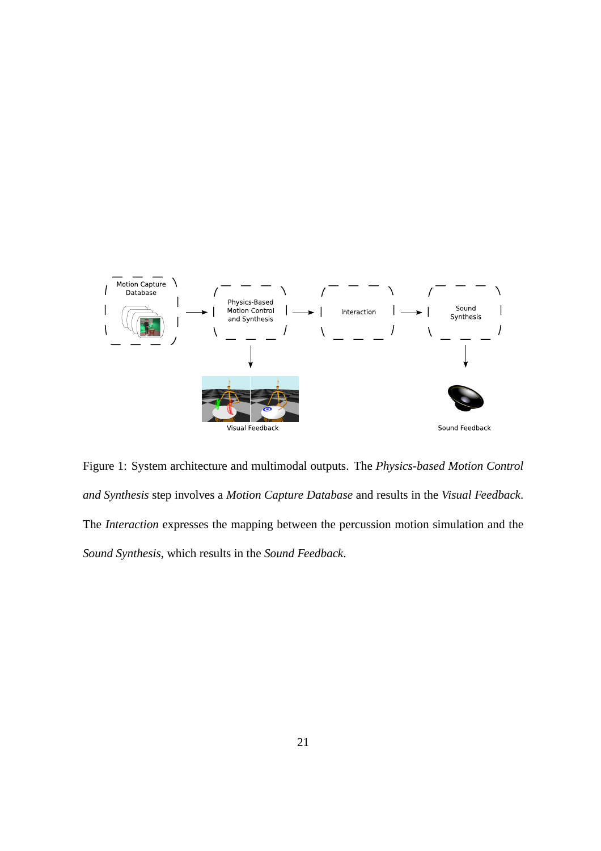

Figure 1: System architecture and multimodal outputs. The *Physics-based Motion Control and Synthesis* step involves a *Motion Capture Database* and results in the *Visual Feedback*. The *Interaction* expresses the mapping between the percussion motion simulation and the *Sound Synthesis*, which results in the *Sound Feedback*.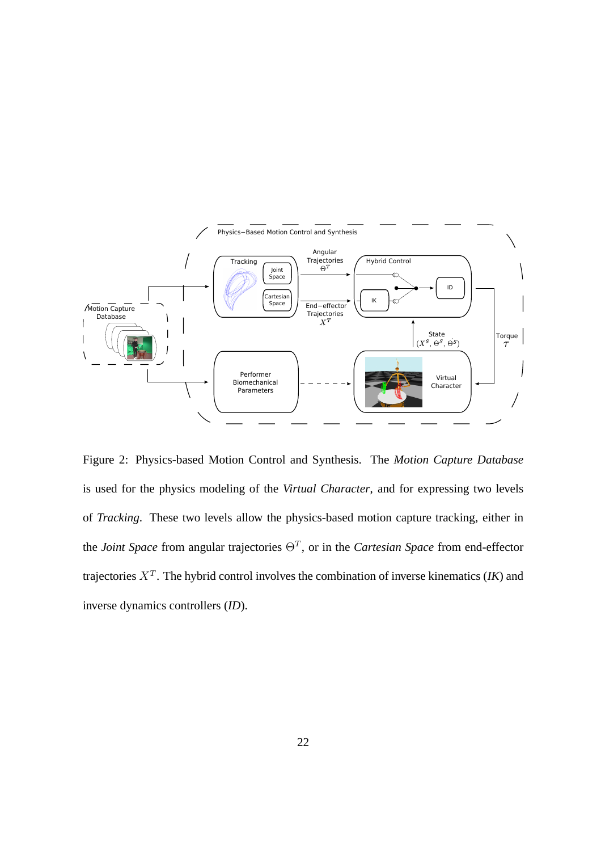

Figure 2: Physics-based Motion Control and Synthesis. The *Motion Capture Database* is used for the physics modeling of the *Virtual Character*, and for expressing two levels of *Tracking*. These two levels allow the physics-based motion capture tracking, either in the *Joint Space* from angular trajectories  $\Theta^T$ , or in the *Cartesian Space* from end-effector trajectories  $X^T$ . The hybrid control involves the combination of inverse kinematics (*IK*) and inverse dynamics controllers (*ID*).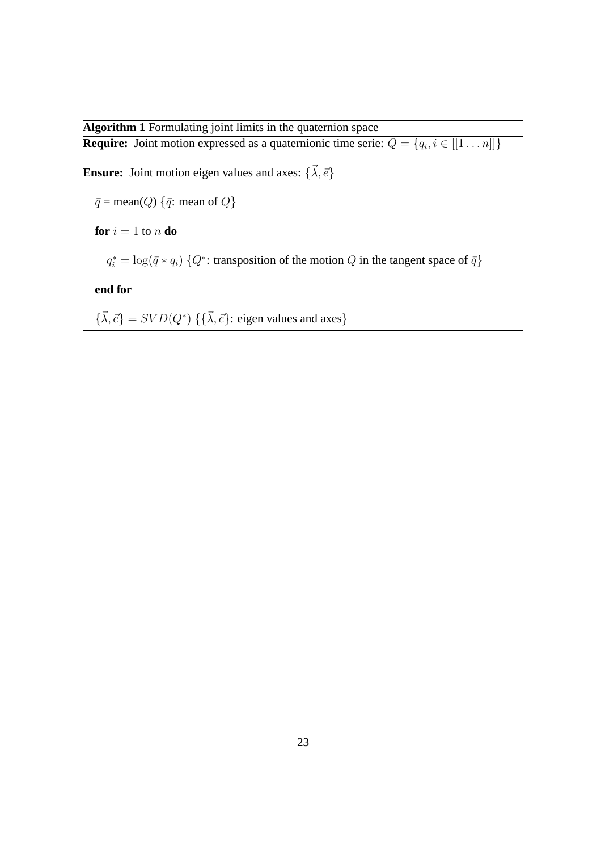#### **Algorithm 1** Formulating joint limits in the quaternion space

**Require:** Joint motion expressed as a quaternionic time serie:  $Q = \{q_i, i \in [[1 \dots n]]\}$ 

**Ensure:** Joint motion eigen values and axes:  $\{\vec{\lambda}, \vec{e}\}$ 

 $\bar{q}$  = mean(Q) { $\bar{q}$ : mean of Q}

**for**  $i = 1$  to  $n$  **do** 

 $q_i^* = \log(\bar{q} * q_i)$  { $Q^*$ : transposition of the motion  $Q$  in the tangent space of  $\bar{q}$ }

**end for**

 ${\{\vec{\lambda}, \vec{e}\}} = SVD(Q^*)$  { ${\{\vec{\lambda}, \vec{e}\}}$ : eigen values and axes}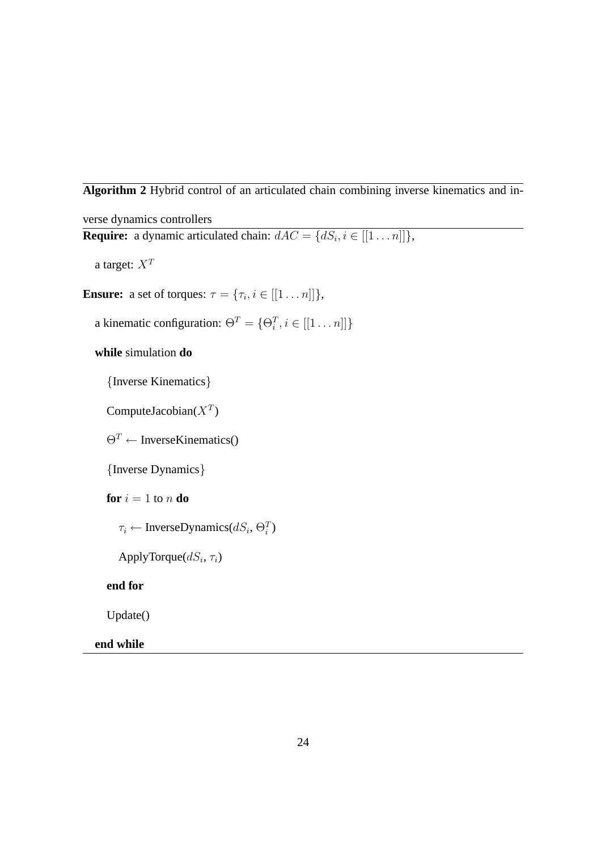**Algorithm 2** Hybrid control of an articulated chain combining inverse kinematics and in-

verse dynamics controllers **Require:** a dynamic articulated chain:  $dAC = \{dS_i, i \in [[1 \dots n]]\},\$ a target:  $X^T$ **Ensure:** a set of torques:  $\tau = {\tau_i, i \in [[1 \dots n]]},$ a kinematic configuration:  $\Theta^T = \{\Theta_i^T, i \in [[1 \dots n]]\}$ **while** simulation **do** {Inverse Kinematics} ComputeJacobian( $X^T$ )  $\Theta^T \leftarrow \text{InverseKinematics}$ {Inverse Dynamics} **for**  $i = 1$  to n **do**  $\tau_i \leftarrow \text{InverseDynamics}(dS_i, \Theta_i^T)$ ApplyTorque $(dS_i, \tau_i)$ **end for** Update()

**end while**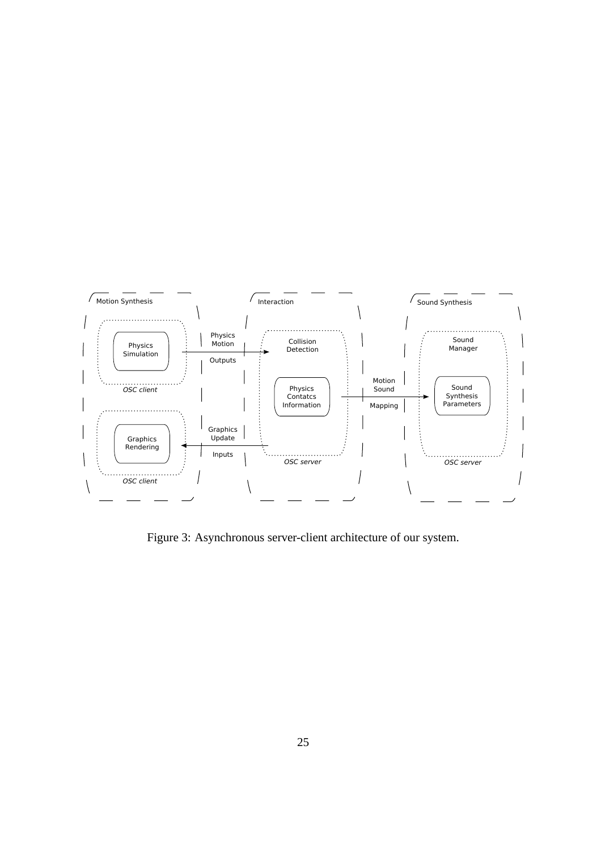

Figure 3: Asynchronous server-client architecture of our system.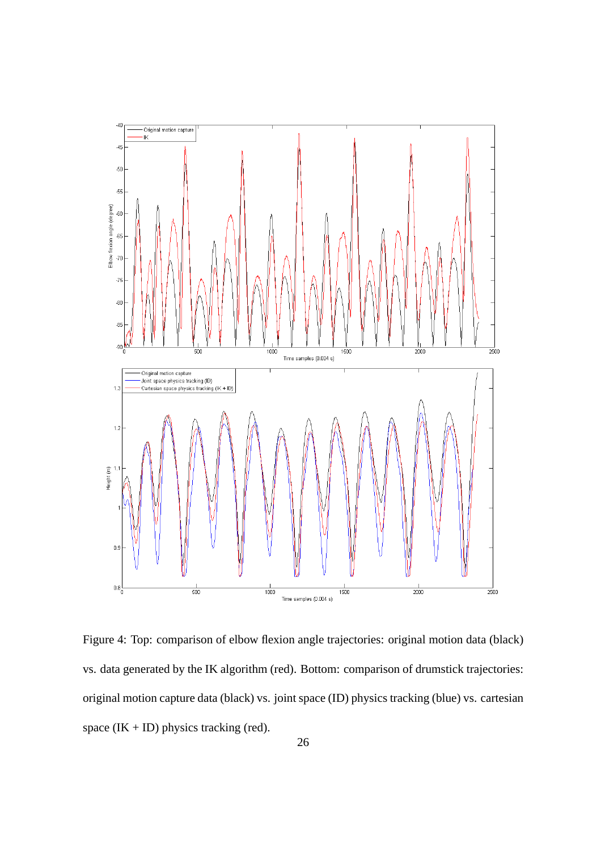

Figure 4: Top: comparison of elbow flexion angle trajectories: original motion data (black) vs. data generated by the IK algorithm (red). Bottom: comparison of drumstick trajectories: original motion capture data (black) vs. joint space (ID) physics tracking (blue) vs. cartesian space  $(IK + ID)$  physics tracking (red).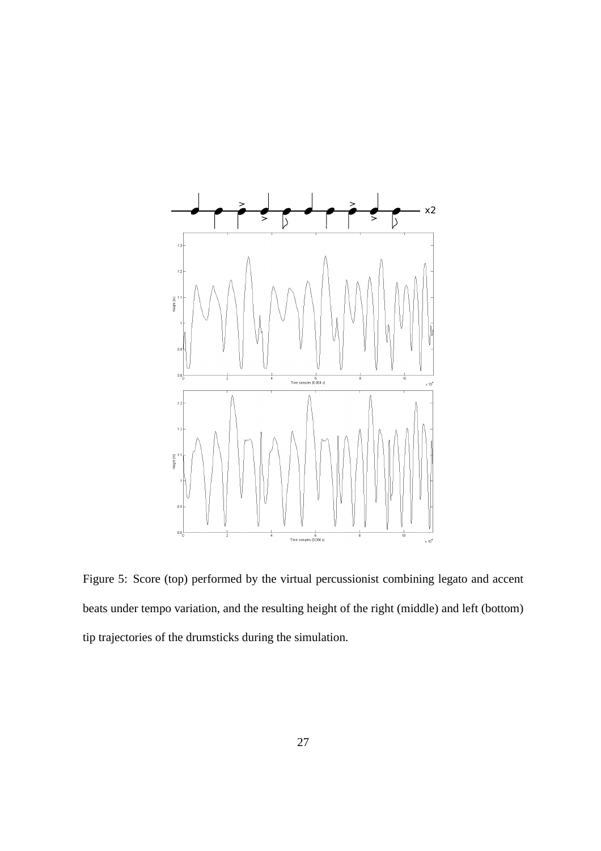

Figure 5: Score (top) performed by the virtual percussionist combining legato and accent beats under tempo variation, and the resulting height of the right (middle) and left (bottom) tip trajectories of the drumsticks during the simulation.